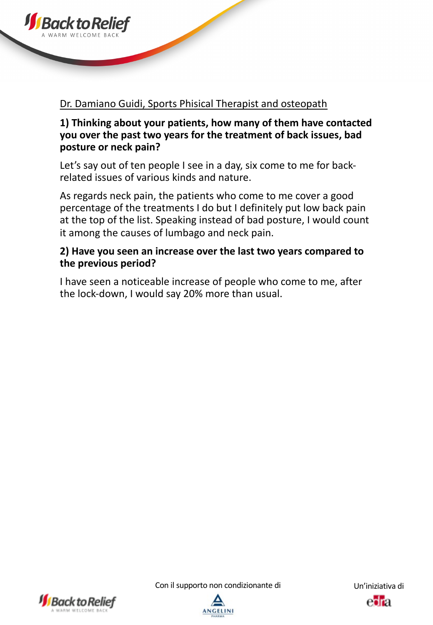

#### Dr. Damiano Guidi, Sports Phisical Therapist and osteopath

## **1) Thinking about your patients, how many of them have contacted you over the past two years for the treatment of back issues, bad posture or neck pain?**

Let's say out of ten people I see in a day, six come to me for backrelated issues of various kinds and nature.

As regards neck pain, the patients who come to me cover a good percentage of the treatments I do but I definitely put low back pain at the top of the list. Speaking instead of bad posture, I would count it among the causes of lumbago and neck pain.

## **2) Have you seen an increase over the last two years compared to the previous period?**

I have seen a noticeable increase of people who come to me, after the lock-down, I would say 20% more than usual.





eora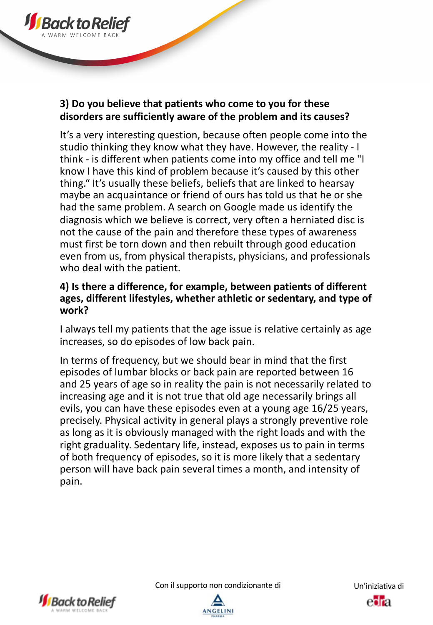

It's a very interesting question, because often people come into the studio thinking they know what they have. However, the reality - I think - is different when patients come into my office and tell me "I know I have this kind of problem because it's caused by this other thing." It's usually these beliefs, beliefs that are linked to hearsay maybe an acquaintance or friend of ours has told us that he or she had the same problem. A search on Google made us identify the diagnosis which we believe is correct, very often a herniated disc is not the cause of the pain and therefore these types of awareness must first be torn down and then rebuilt through good education even from us, from physical therapists, physicians, and professionals who deal with the patient.

# **4) Is there a difference, for example, between patients of different ages, different lifestyles, whether athletic or sedentary, and type of work?**

I always tell my patients that the age issue is relative certainly as age increases, so do episodes of low back pain.

In terms of frequency, but we should bear in mind that the first episodes of lumbar blocks or back pain are reported between 16 and 25 years of age so in reality the pain is not necessarily related to increasing age and it is not true that old age necessarily brings all evils, you can have these episodes even at a young age 16/25 years, precisely. Physical activity in general plays a strongly preventive role as long as it is obviously managed with the right loads and with the right graduality. Sedentary life, instead, exposes us to pain in terms of both frequency of episodes, so it is more likely that a sedentary person will have back pain several times a month, and intensity of pain.





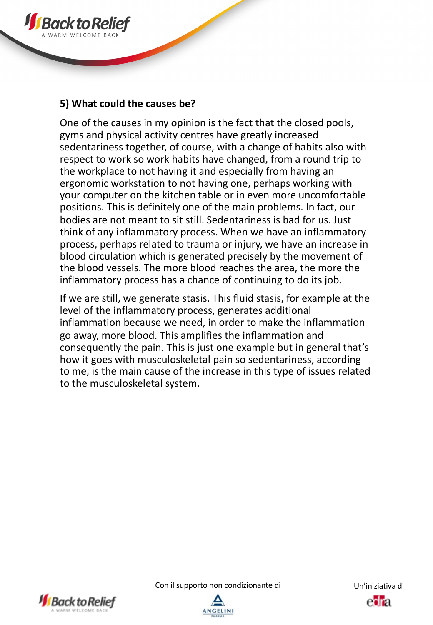

**JS** Back to Re

One of the causes in my opinion is the fact that the closed pools, gyms and physical activity centres have greatly increased sedentariness together, of course, with a change of habits also with respect to work so work habits have changed, from a round trip to the workplace to not having it and especially from having an ergonomic workstation to not having one, perhaps working with your computer on the kitchen table or in even more uncomfortable positions. This is definitely one of the main problems. In fact, our bodies are not meant to sit still. Sedentariness is bad for us. Just think of any inflammatory process. When we have an inflammatory process, perhaps related to trauma or injury, we have an increase in blood circulation which is generated precisely by the movement of the blood vessels. The more blood reaches the area, the more the inflammatory process has a chance of continuing to do its job.

If we are still, we generate stasis. This fluid stasis, for example at the level of the inflammatory process, generates additional inflammation because we need, in order to make the inflammation go away, more blood. This amplifies the inflammation and consequently the pain. This is just one example but in general that's how it goes with musculoskeletal pain so sedentariness, according to me, is the main cause of the increase in this type of issues related to the musculoskeletal system.





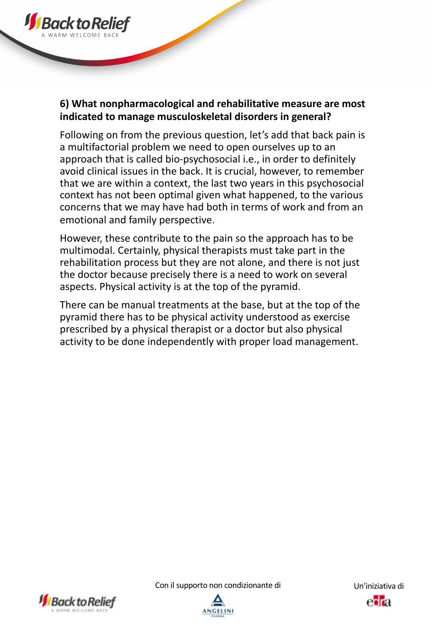

# **6) What nonpharmacological and rehabilitative measure are most indicated to manage musculoskeletal disorders in general?**

Following on from the previous question, let's add that back pain is a multifactorial problem we need to open ourselves up to an approach that is called bio-psychosocial i.e., in order to definitely avoid clinical issues in the back. It is crucial, however, to remember that we are within a context, the last two years in this psychosocial context has not been optimal given what happened, to the various concerns that we may have had both in terms of work and from an emotional and family perspective.

However, these contribute to the pain so the approach has to be multimodal. Certainly, physical therapists must take part in the rehabilitation process but they are not alone, and there is not just the doctor because precisely there is a need to work on several aspects. Physical activity is at the top of the pyramid.

There can be manual treatments at the base, but at the top of the pyramid there has to be physical activity understood as exercise prescribed by a physical therapist or a doctor but also physical activity to be done independently with proper load management.





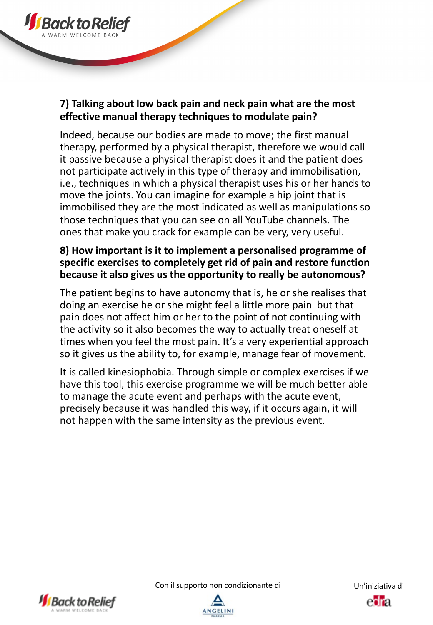

Indeed, because our bodies are made to move; the first manual therapy, performed by a physical therapist, therefore we would call it passive because a physical therapist does it and the patient does not participate actively in this type of therapy and immobilisation, i.e., techniques in which a physical therapist uses his or her hands to move the joints. You can imagine for example a hip joint that is immobilised they are the most indicated as well as manipulations so those techniques that you can see on all YouTube channels. The ones that make you crack for example can be very, very useful.

## **8) How important is it to implement a personalised programme of specific exercises to completely get rid of pain and restore function because it also gives us the opportunity to really be autonomous?**

The patient begins to have autonomy that is, he or she realises that doing an exercise he or she might feel a little more pain but that pain does not affect him or her to the point of not continuing with the activity so it also becomes the way to actually treat oneself at times when you feel the most pain. It's a very experiential approach so it gives us the ability to, for example, manage fear of movement.

It is called kinesiophobia. Through simple or complex exercises if we have this tool, this exercise programme we will be much better able to manage the acute event and perhaps with the acute event, precisely because it was handled this way, if it occurs again, it will not happen with the same intensity as the previous event.



**JS** Back to R

Con il supporto non condizionante di Un'iniziativa di



eora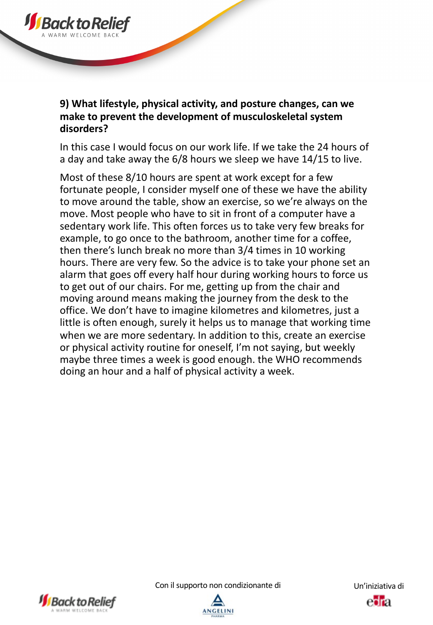

# **9) What lifestyle, physical activity, and posture changes, can we make to prevent the development of musculoskeletal system disorders?**

In this case I would focus on our work life. If we take the 24 hours of a day and take away the 6/8 hours we sleep we have 14/15 to live.

Most of these 8/10 hours are spent at work except for a few fortunate people, I consider myself one of these we have the ability to move around the table, show an exercise, so we're always on the move. Most people who have to sit in front of a computer have a sedentary work life. This often forces us to take very few breaks for example, to go once to the bathroom, another time for a coffee, then there's lunch break no more than 3/4 times in 10 working hours. There are very few. So the advice is to take your phone set an alarm that goes off every half hour during working hours to force us to get out of our chairs. For me, getting up from the chair and moving around means making the journey from the desk to the office. We don't have to imagine kilometres and kilometres, just a little is often enough, surely it helps us to manage that working time when we are more sedentary. In addition to this, create an exercise or physical activity routine for oneself, I'm not saying, but weekly maybe three times a week is good enough. the WHO recommends doing an hour and a half of physical activity a week.